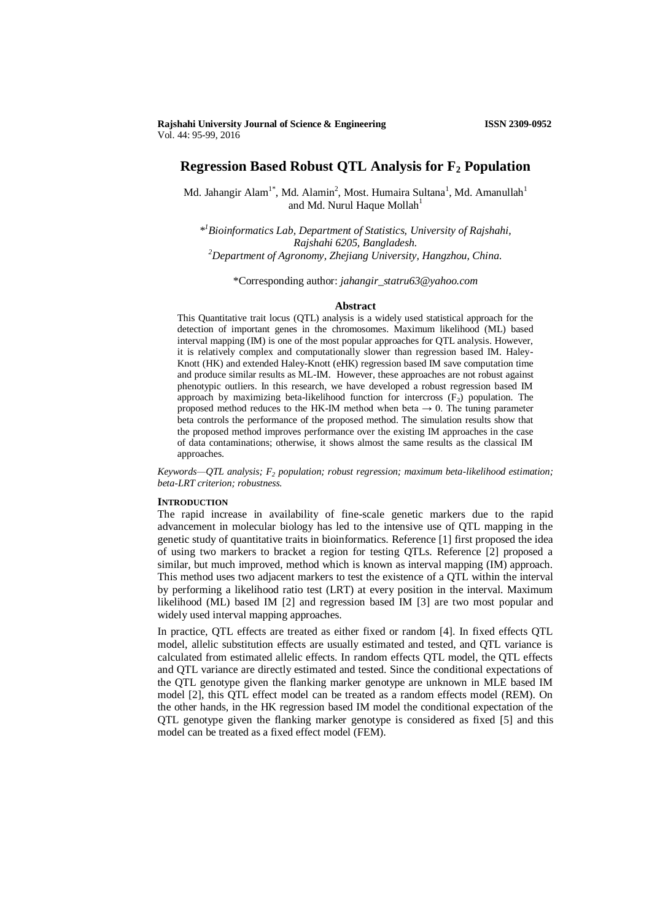# **Regression Based Robust QTL Analysis for F<sup>2</sup> Population**

Md. Jahangir Alam<sup>1\*</sup>, Md. Alamin<sup>2</sup>, Most. Humaira Sultana<sup>1</sup>, Md. Amanullah<sup>1</sup> and Md. Nurul Haque Mollah $<sup>1</sup>$ </sup>

*\* <sup>1</sup>Bioinformatics Lab, Department of Statistics, University of Rajshahi, Rajshahi 6205, Bangladesh. <sup>2</sup>Department of Agronomy, Zhejiang University, Hangzhou, China.*

\*Corresponding author: *jahangir\_statru63@yahoo.com*

#### **Abstract**

This Quantitative trait locus (QTL) analysis is a widely used statistical approach for the detection of important genes in the chromosomes. Maximum likelihood (ML) based interval mapping (IM) is one of the most popular approaches for QTL analysis. However, it is relatively complex and computationally slower than regression based IM. Haley-Knott (HK) and extended Haley-Knott (eHK) regression based IM save computation time and produce similar results as ML-IM. However, these approaches are not robust against phenotypic outliers. In this research, we have developed a robust regression based IM approach by maximizing beta-likelihood function for intercross  $(F_2)$  population. The proposed method reduces to the HK-IM method when beta  $\rightarrow 0$ . The tuning parameter beta controls the performance of the proposed method. The simulation results show that the proposed method improves performance over the existing IM approaches in the case of data contaminations; otherwise, it shows almost the same results as the classical IM approaches.

*Keywords—QTL analysis; F<sup>2</sup> population; robust regression; maximum beta-likelihood estimation; beta-LRT criterion; robustness.*

# **INTRODUCTION**

The rapid increase in availability of fine-scale genetic markers due to the rapid advancement in molecular biology has led to the intensive use of QTL mapping in the genetic study of quantitative traits in bioinformatics. Reference [1] first proposed the idea of using two markers to bracket a region for testing QTLs. Reference [2] proposed a similar, but much improved, method which is known as interval mapping (IM) approach. This method uses two adjacent markers to test the existence of a QTL within the interval by performing a likelihood ratio test (LRT) at every position in the interval. Maximum likelihood (ML) based IM [2] and regression based IM [3] are two most popular and widely used interval mapping approaches.

In practice, QTL effects are treated as either fixed or random [4]. In fixed effects QTL model, allelic substitution effects are usually estimated and tested, and QTL variance is calculated from estimated allelic effects. In random effects QTL model, the QTL effects and QTL variance are directly estimated and tested. Since the conditional expectations of the QTL genotype given the flanking marker genotype are unknown in MLE based IM model [2], this QTL effect model can be treated as a random effects model (REM). On the other hands, in the HK regression based IM model the conditional expectation of the QTL genotype given the flanking marker genotype is considered as fixed [5] and this model can be treated as a fixed effect model (FEM).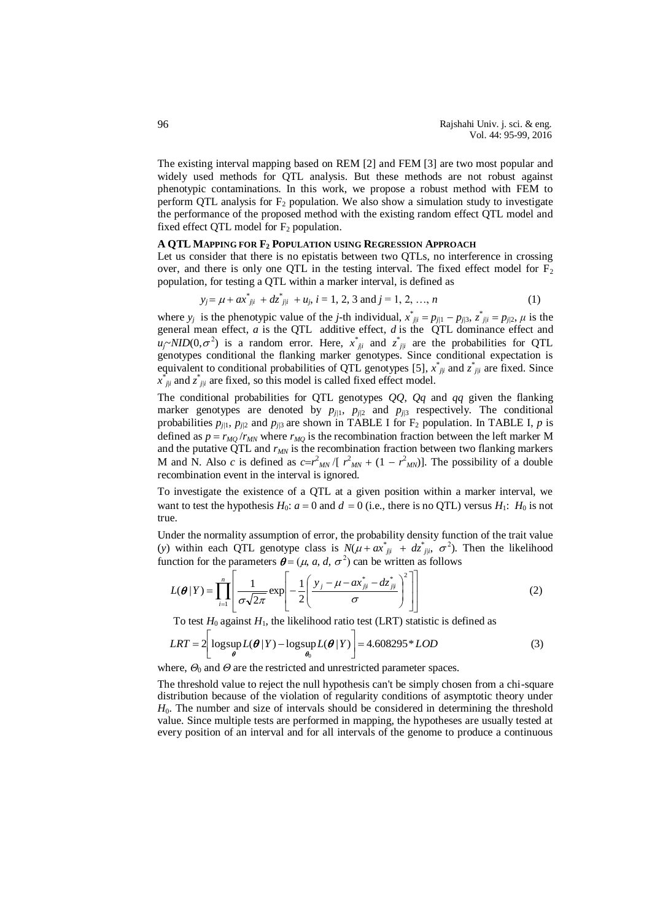The existing interval mapping based on REM [2] and FEM [3] are two most popular and widely used methods for QTL analysis. But these methods are not robust against phenotypic contaminations. In this work, we propose a robust method with FEM to perform QTL analysis for  $F_2$  population. We also show a simulation study to investigate the performance of the proposed method with the existing random effect QTL model and fixed effect QTL model for  $F_2$  population.

# **A QTL MAPPING FOR F<sup>2</sup> POPULATION USING REGRESSION APPROACH**

Let us consider that there is no epistatis between two QTLs, no interference in crossing over, and there is only one QTL in the testing interval. The fixed effect model for  $F_2$ population, for testing a QTL within a marker interval, is defined as

$$
y_j = \mu + ax^*_{j|i} + dz^*_{j|i} + u_j, i = 1, 2, 3 \text{ and } j = 1, 2, ..., n
$$
 (1)

where  $y_j$  is the phenotypic value of the *j*-th individual,  $x^*_{j|i} = p_{j/1} - p_{j/3}, z^*_{j/i} = p_{j/2}, \mu$  is the general mean effect, *a* is the QTL additive effect, *d* is the QTL dominance effect and  $u_j \sim NID(0, \sigma^2)$  is a random error. Here,  $x^*_{j|i}$  and  $z^*_{j|i}$  are the probabilities for QTL genotypes conditional the flanking marker genotypes. Since conditional expectation is equivalent to conditional probabilities of QTL genotypes [5],  $\vec{x}_{j|i}$  and  $\vec{z}_{j|i}$  are fixed. Since  $x$ <sup>\*</sup><sub>j|i</sub> and  $z$ <sup>\*</sup><sub>j|i</sub> are fixed, so this model is called fixed effect model.

The conditional probabilities for QTL genotypes *QQ*, *Qq* and *qq* given the flanking marker genotypes are denoted by  $p_{j/1}$ ,  $p_{j/2}$  and  $p_{j/3}$  respectively. The conditional probabilities  $p_{j1}$ ,  $p_{j2}$  and  $p_{j3}$  are shown in TABLE I for  $F_2$  population. In TABLE I, *p* is defined as  $p = r_{MO}/r_{MN}$  where  $r_{MO}$  is the recombination fraction between the left marker M and the putative QTL and *rMN* is the recombination fraction between two flanking markers M and N. Also *c* is defined as  $c = r^2 M_N / [r^2 M_N + (1 - r^2 M_N)]$ . The possibility of a double recombination event in the interval is ignored.

To investigate the existence of a QTL at a given position within a marker interval, we want to test the hypothesis  $H_0$ :  $a = 0$  and  $d = 0$  (i.e., there is no QTL) versus  $H_1$ :  $H_0$  is not true.

Under the normality assumption of error, the probability density function of the trait value (*y*) within each QTL genotype class is  $N(\mu + ax_{j|i}^* + dz_{j|i}^*, \sigma^2)$ . Then the likelihood function for the parameters  $\boldsymbol{\theta} = (\mu, a, d, \sigma^2)$  can be written as follows

$$
L(\boldsymbol{\theta}|Y) = \prod_{i=1}^{n} \left[ \frac{1}{\sigma \sqrt{2\pi}} \exp \left[ -\frac{1}{2} \left( \frac{y_j - \mu - ax_{ji}^* - dz_{ji}^*}{\sigma} \right)^2 \right] \right]
$$
(2)

To test  $H_0$  against  $H_1$ , the likelihood ratio test (LRT) statistic is defined as

$$
LRT = 2\left[ \log \sup_{\theta} L(\theta | Y) - \log \sup_{\theta_0} L(\theta | Y) \right] = 4.608295 * LOD
$$
 (3)

where,  $\Theta_0$  and  $\Theta$  are the restricted and unrestricted parameter spaces.

The threshold value to reject the null hypothesis can't be simply chosen from a chi-square distribution because of the violation of regularity conditions of asymptotic theory under *H*<sub>0</sub>. The number and size of intervals should be considered in determining the threshold value. Since multiple tests are performed in mapping, the hypotheses are usually tested at every position of an interval and for all intervals of the genome to produce a continuous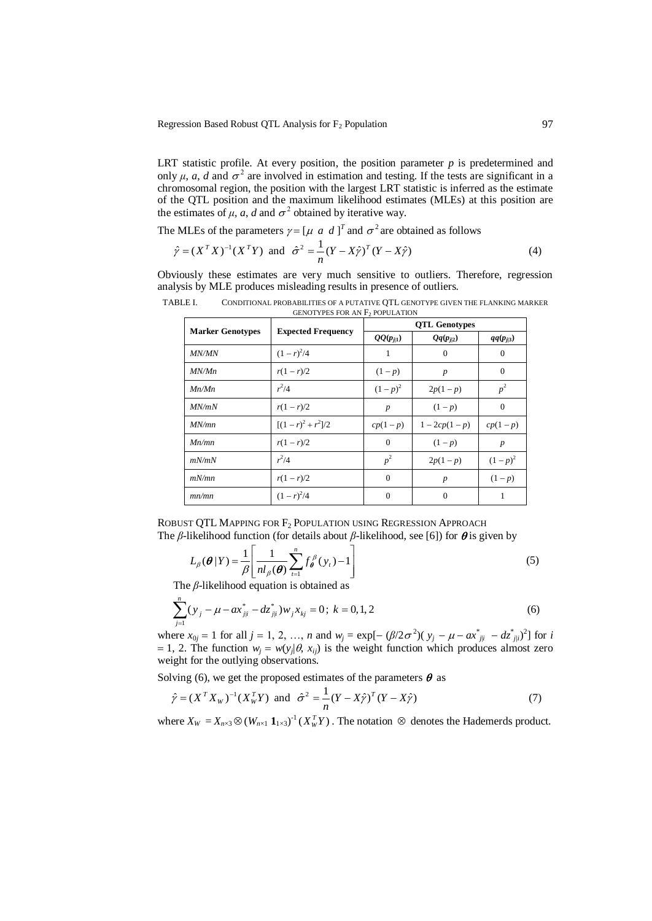Regression Based Robust QTL Analysis for  $F_2$  Population 97

LRT statistic profile. At every position, the position parameter *p* is predetermined and only  $\mu$ , *a*, *d* and  $\sigma^2$  are involved in estimation and testing. If the tests are significant in a chromosomal region, the position with the largest LRT statistic is inferred as the estimate of the QTL position and the maximum likelihood estimates (MLEs) at this position are the estimates of  $\mu$ ,  $a$ ,  $d$  and  $\sigma^2$  obtained by iterative way.

The MLEs of the parameters  $\gamma = [\mu \ a \ d]^T$  and  $\sigma^2$  are obtained as follows

$$
\hat{\gamma} = (X^T X)^{-1} (X^T Y)
$$
 and  $\hat{\sigma}^2 = \frac{1}{n} (Y - X\hat{\gamma})^T (Y - X\hat{\gamma})$  (4)

Obviously these estimates are very much sensitive to outliers. Therefore, regression analysis by MLE produces misleading results in presence of outliers.

| <b>Marker Genotypes</b> | <b>Expected Frequency</b> | <b>QTL Genotypes</b> |                  |                  |
|-------------------------|---------------------------|----------------------|------------------|------------------|
|                         |                           | $QQ(p_{j/1})$        | $Qq(p_{j2})$     | $qq(p_{j\beta})$ |
| <i>MN/MN</i>            | $(1 - r)^2/4$             | 1                    | $\Omega$         | $\Omega$         |
| MN/Mn                   | $r(1 - r)/2$              | $(1-p)$              | $\boldsymbol{p}$ | $\mathbf{0}$     |
| Mn/Mn                   | $r^2/4$                   | $(1-p)^2$            | $2p(1-p)$        | $p^2$            |
| <i>MN/mN</i>            | $r(1 - r)/2$              | $\boldsymbol{p}$     | $(1-p)$          | $\Omega$         |
| MN/mn                   | $[(1 - r)^2 + r^2]/2$     | $cp(1-p)$            | $1 - 2cp(1-p)$   | $cp(1-p)$        |
| Mn/mn                   | $r(1 - r)/2$              | $\mathbf{0}$         | $(1-p)$          | $\boldsymbol{p}$ |
| mN/mN                   | $r^2/4$                   | $p^2$                | $2p(1-p)$        | $(1-p)^2$        |
| mN/mn                   | $r(1 - r)/2$              | $\Omega$             | $\boldsymbol{p}$ | $(1-p)$          |
| mn/mn                   | $(1 - r)^2/4$             | $\Omega$             | $\Omega$         | 1                |

TABLE I. CONDITIONAL PROBABILITIES OF A PUTATIVE QTL GENOTYPE GIVEN THE FLANKING MARKER GENOTYPES FOR AN  $F_2$  POPULATION

ROBUST QTL MAPPING FOR F<sup>2</sup> POPULATION USING REGRESSION APPROACH The  $\beta$ -likelihood function (for details about  $\beta$ -likelihood, see [6]) for  $\theta$  is given by

$$
L_{\beta}(\boldsymbol{\theta} | Y) = \frac{1}{\beta} \left[ \frac{1}{n l_{\beta}(\boldsymbol{\theta})} \sum_{t=1}^{n} f_{\boldsymbol{\theta}}^{\beta} (y_t) - 1 \right]
$$
(5)

The *β*-likelihood equation is obtained as

$$
\sum_{j=1}^{n} (y_j - \mu - ax_{j|i}^* - dz_{j|i}^*) w_j x_{kj} = 0; k = 0, 1, 2
$$
 (6)

where  $x_{0j} = 1$  for all  $j = 1, 2, ..., n$  and  $w_j = \exp[-(\beta/2\sigma^2)(y_j - \mu - ax_{jli}^* - dz_{jli}^*)^2]$  for *i* = 1, 2. The function  $w_j = w(y_j | \theta, x_{ij})$  is the weight function which produces almost zero weight for the outlying observations.

Solving (6), we get the proposed estimates of the parameters  $\theta$  as

$$
\hat{\gamma} = (X^T X_W)^{-1} (X_W^T Y)
$$
 and  $\hat{\sigma}^2 = \frac{1}{n} (Y - X\hat{\gamma})^T (Y - X\hat{\gamma})$  (7)

where  $X_W = X_{n \times 3} \otimes (W_{n \times 1} \mathbf{1}_{1 \times 3})^{-1} (X_W^T Y)$ . The notation  $\otimes$  denotes the Hademerds product.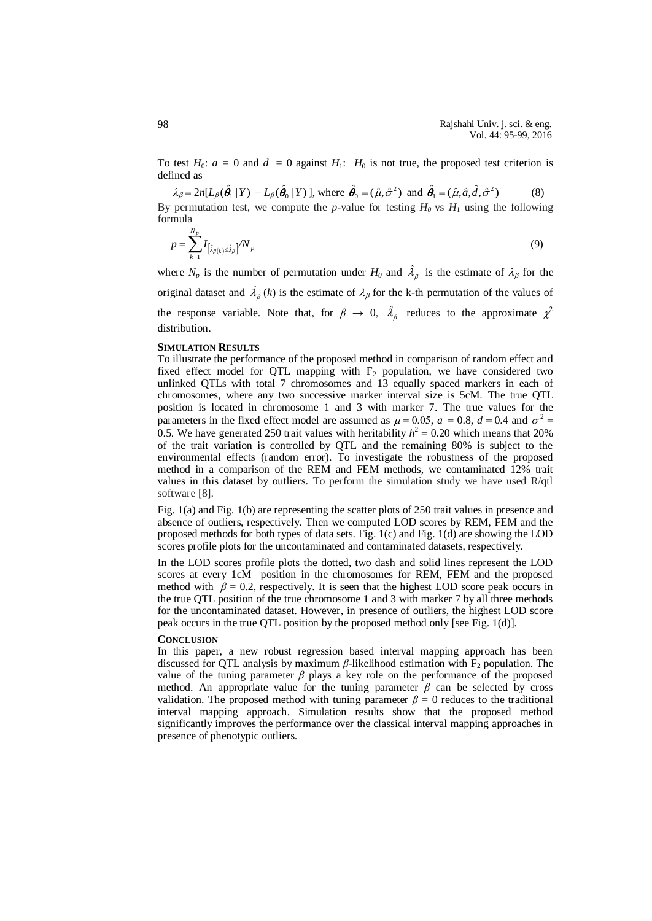To test  $H_0$ :  $a = 0$  and  $d = 0$  against  $H_1$ :  $H_0$  is not true, the proposed test criterion is defined as

 $\lambda_{\beta} = 2n[L_{\beta}(\hat{\theta}_1 | Y) - L_{\beta}(\hat{\theta}_0 | Y)]$ , where  $\hat{\theta}_0 = (\hat{\mu}, \hat{\sigma}^2)$  and  $\hat{\theta}_1 = (\hat{\mu}, \hat{a}, \hat{d}, \hat{\sigma}^2)$  (8) By permutation test, we compute the *p*-value for testing  $H_0$  vs  $H_1$  using the following formula

$$
p = \sum_{k=1}^{N_p} I_{\left[\hat{\lambda}_{\beta(k)} \le \hat{\lambda}_{\beta}\right]} / N_p \tag{9}
$$

where  $N_p$  is the number of permutation under  $H_0$  and  $\hat{\lambda}_p$  is the estimate of  $\lambda_\beta$  for the original dataset and  $\hat{\lambda}_{\beta}(k)$  is the estimate of  $\lambda_{\beta}$  for the k-th permutation of the values of the response variable. Note that, for  $\beta \to 0$ ,  $\hat{\lambda}_{\beta}$  reduces to the approximate  $\chi^2$ distribution.

### **SIMULATION RESULTS**

To illustrate the performance of the proposed method in comparison of random effect and fixed effect model for OTL mapping with  $F<sub>2</sub>$  population, we have considered two unlinked QTLs with total 7 chromosomes and 13 equally spaced markers in each of chromosomes, where any two successive marker interval size is 5cM. The true QTL position is located in chromosome 1 and 3 with marker 7. The true values for the parameters in the fixed effect model are assumed as  $\mu$  = 0.05, *a* = 0.8, *d* = 0.4 and  $\sigma$ <sup>2</sup> = 0.5. We have generated 250 trait values with heritability  $h^2 = 0.20$  which means that 20% of the trait variation is controlled by QTL and the remaining 80% is subject to the environmental effects (random error). To investigate the robustness of the proposed method in a comparison of the REM and FEM methods, we contaminated 12% trait values in this dataset by outliers. To perform the simulation study we have used R/qtl software [8].

Fig. 1(a) and Fig. 1(b) are representing the scatter plots of 250 trait values in presence and absence of outliers, respectively. Then we computed LOD scores by REM, FEM and the proposed methods for both types of data sets. Fig. 1(c) and Fig. 1(d) are showing the LOD scores profile plots for the uncontaminated and contaminated datasets, respectively.

In the LOD scores profile plots the dotted, two dash and solid lines represent the LOD scores at every 1cM position in the chromosomes for REM, FEM and the proposed method with  $\beta = 0.2$ , respectively. It is seen that the highest LOD score peak occurs in the true QTL position of the true chromosome 1 and 3 with marker 7 by all three methods for the uncontaminated dataset. However, in presence of outliers, the highest LOD score peak occurs in the true QTL position by the proposed method only [see Fig. 1(d)].

## **CONCLUSION**

In this paper, a new robust regression based interval mapping approach has been discussed for QTL analysis by maximum  $\beta$ -likelihood estimation with  $F_2$  population. The value of the tuning parameter  $\beta$  plays a key role on the performance of the proposed method. An appropriate value for the tuning parameter  $\beta$  can be selected by cross validation. The proposed method with tuning parameter  $\beta = 0$  reduces to the traditional interval mapping approach. Simulation results show that the proposed method significantly improves the performance over the classical interval mapping approaches in presence of phenotypic outliers.

98